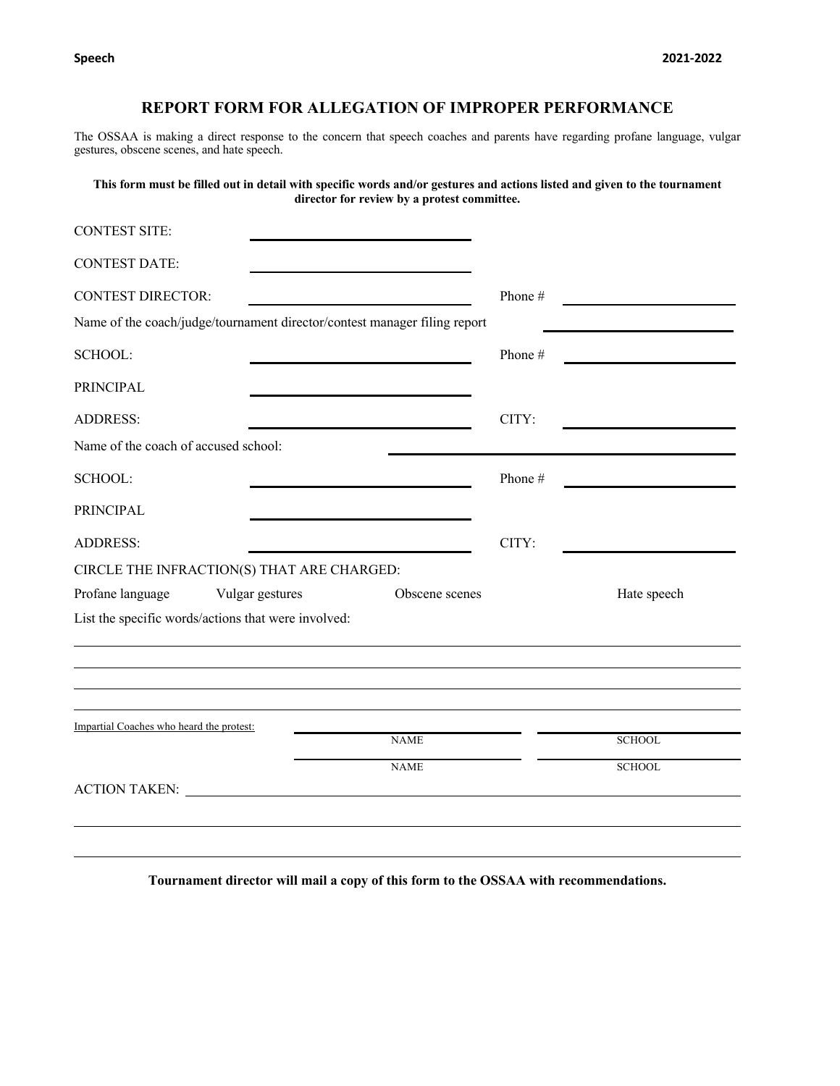## **REPORT FORM FOR ALLEGATION OF IMPROPER PERFORMANCE**

The OSSAA is making a direct response to the concern that speech coaches and parents have regarding profane language, vulgar gestures, obscene scenes, and hate speech.

**This form must be filled out in detail with specific words and/or gestures and actions listed and given to the tournament director for review by a protest committee.**

| <b>CONTEST SITE:</b>                     |                                                                                                                                                                                                                                |                |         |               |
|------------------------------------------|--------------------------------------------------------------------------------------------------------------------------------------------------------------------------------------------------------------------------------|----------------|---------|---------------|
| <b>CONTEST DATE:</b>                     |                                                                                                                                                                                                                                |                |         |               |
| <b>CONTEST DIRECTOR:</b>                 |                                                                                                                                                                                                                                |                | Phone#  |               |
|                                          | Name of the coach/judge/tournament director/contest manager filing report                                                                                                                                                      |                |         |               |
| SCHOOL:                                  |                                                                                                                                                                                                                                |                | Phone # |               |
| <b>PRINCIPAL</b>                         |                                                                                                                                                                                                                                |                |         |               |
| <b>ADDRESS:</b>                          |                                                                                                                                                                                                                                |                | CITY:   |               |
| Name of the coach of accused school:     |                                                                                                                                                                                                                                |                |         |               |
| SCHOOL:                                  |                                                                                                                                                                                                                                |                | Phone # |               |
| PRINCIPAL                                |                                                                                                                                                                                                                                |                |         |               |
| <b>ADDRESS:</b>                          |                                                                                                                                                                                                                                |                | CITY:   |               |
|                                          | CIRCLE THE INFRACTION(S) THAT ARE CHARGED:                                                                                                                                                                                     |                |         |               |
| Profane language                         | Vulgar gestures                                                                                                                                                                                                                | Obscene scenes |         | Hate speech   |
|                                          | List the specific words/actions that were involved:                                                                                                                                                                            |                |         |               |
|                                          |                                                                                                                                                                                                                                |                |         |               |
| Impartial Coaches who heard the protest: |                                                                                                                                                                                                                                | <b>NAME</b>    |         | <b>SCHOOL</b> |
|                                          |                                                                                                                                                                                                                                | <b>NAME</b>    |         | <b>SCHOOL</b> |
|                                          | ACTION TAKEN: University of the set of the set of the set of the set of the set of the set of the set of the set of the set of the set of the set of the set of the set of the set of the set of the set of the set of the set |                |         |               |
|                                          |                                                                                                                                                                                                                                |                |         |               |
|                                          |                                                                                                                                                                                                                                |                |         |               |

**Tournament director will mail a copy of this form to the OSSAA with recommendations.**